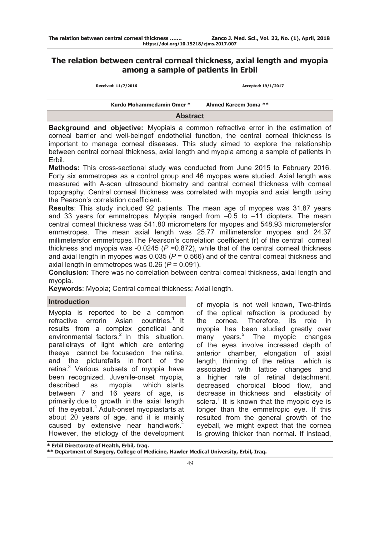# **The relation between central corneal thickness, axial length and myopia among a sample of patients in Erbil**

**Received: 11/7/2016 Accepted: 19/1/2017**

|                 | Kurdo Mohammedamin Omer * | Ahmed Kareem Joma ** |  |
|-----------------|---------------------------|----------------------|--|
| <b>Abstract</b> |                           |                      |  |

**Background and objective:** Myopiais a common refractive error in the estimation of corneal barrier and well-beingof endothelial function, the central corneal thickness is important to manage corneal diseases. This study aimed to explore the relationship between central corneal thickness, axial length and myopia among a sample of patients in Erbil.

**Methods:** This cross-sectional study was conducted from June 2015 to February 2016. Forty six emmetropes as a control group and 46 myopes were studied. Axial length was measured with A-scan ultrasound biometry and central corneal thickness with corneal topography. Central corneal thickness was correlated with myopia and axial length using the Pearson's correlation coefficient.

**Results**: This study included 92 patients. The mean age of myopes was 31.87 years and 33 years for emmetropes. Myopia ranged from  $-0.5$  to  $-11$  diopters. The mean central corneal thickness was 541.80 micrometers for myopes and 548.93 micrometersfor emmetropes. The mean axial length was 25.77 millimetersfor myopes and 24.37 millimetersfor emmetropes.The Pearson's correlation coefficient (r) of the central corneal thickness and myopia was -0.0245 (*P* =0.872), while that of the central corneal thickness and axial length in myopes was 0.035 (*P* = 0.566) and of the central corneal thickness and axial length in emmetropes was  $0.26$  ( $P = 0.091$ ).

**Conclusion**: There was no correlation between central corneal thickness, axial length and myopia.

**Keywords**: Myopia; Central corneal thickness; Axial length.

## **Introduction**

Myopia is reported to be a common refractive errorin Asian countries.<sup>1</sup> It results from a complex genetical and environmental factors. $2 \text{ In }$  this situation, parallelrays of light which are entering theeye cannot be focusedon the retina, and the picturefalls in front of the retina.<sup>3</sup> Various subsets of myopia have been recognized. Juvenile-onset myopia*,*  described as myopia which starts between 7 and 16 years of age, is primarily due to growth in the axial length of the eyeball.<sup>4</sup> Adult-onset myopiastarts at about 20 years of age, and it is mainly caused by extensive near handiwork.<sup>4</sup> However, the etiology of the development

of myopia is not well known, Two-thirds of the optical refraction is produced by the cornea. Therefore, its role in myopia has been studied greatly over many years.5 The myopic changes of the eyes involve increased depth of anterior chamber, elongation of axial length, thinning of the retina which is associated with lattice changes and a higher rate of retinal detachment, decreased choroidal blood flow, and decrease in thickness and elasticity of sclera.<sup>1</sup> It is known that the myopic eye is longer than the emmetropic eye. If this resulted from the general growth of the eyeball, we might expect that the cornea is growing thicker than normal. If instead,

**\* Erbil Directorate of Health, Erbil, Iraq.** 

**\*\* Department of Surgery, College of Medicine, Hawler Medical University, Erbil, Iraq.**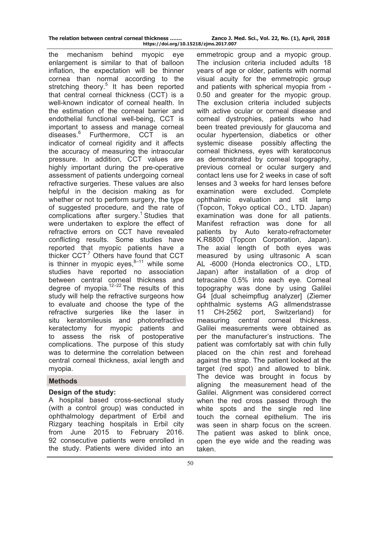| The relation between central corneal thickness |                                        | Zanco J.N |
|------------------------------------------------|----------------------------------------|-----------|
|                                                | https://doi.org/10.15218/zjms.2017.007 |           |

the mechanism behind myopic eye enlargement is similar to that of balloon inflation, the expectation will be thinner cornea than normal according to the stretching theory.<sup>5</sup> It has been reported that central corneal thickness (CCT) is a well-known indicator of corneal health. In the estimation of the corneal barrier and endothelial functional well-being, CCT is important to assess and manage corneal diseases.<sup>6</sup> Furthermore, CCT is an indicator of corneal rigidity and it affects the accuracy of measuring the intraocular pressure. In addition, CCT values are highly important during the pre-operative assessment of patients undergoing corneal refractive surgeries. These values are also helpful in the decision making as for whether or not to perform surgery, the type of suggested procedure, and the rate of complications after surgery.<sup>1</sup> Studies that were undertaken to explore the effect of refractive errors on CCT have revealed conflicting results. Some studies have reported that myopic patients have a thicker  $CCT<sup>7</sup>$  Others have found that CCT is thinner in myopic eyes, $8-11$  while some studies have reported no association between central corneal thickness and degree of myopia. $12-22$  The results of this study will help the refractive surgeons how to evaluate and choose the type of the refractive surgeries like the laser in situ keratomileusis and photorefractive keratectomy for myopic patients and to assess the risk of postoperative complications. The purpose of this study was to determine the correlation between central corneal thickness, axial length and myopia.

## **Methods**

### **Design of the study:**

A hospital based cross-sectional study (with a control group) was conducted in ophthalmology department of Erbil and Rizgary teaching hospitals in Erbil city from June 2015 to February 2016. 92 consecutive patients were enrolled in the study. Patients were divided into an

The inclusion criteria included adults 18 years of age or older, patients with normal visual acuity for the emmetropic group and patients with spherical myopia from - 0.50 and greater for the myopic group. The exclusion criteria included subjects with active ocular or corneal disease and corneal dystrophies, patients who had been treated previously for glaucoma and ocular hypertension, diabetics or other systemic disease possibly affecting the corneal thickness, eyes with keratoconus as demonstrated by corneal topography, previous corneal or ocular surgery and contact lens use for 2 weeks in case of soft lenses and 3 weeks for hard lenses before examination were excluded. Complete ophthalmic evaluation and slit lamp (Topcon, Tokyo optical CO., LTD. Japan) examination was done for all patients. Manifest refraction was done for all patients by Auto kerato-refractometer K.R8800 (Topcon Corporation, Japan). The axial length of both eyes was measured by using ultrasonic A scan AL -6000 (Honda electronics CO., LTD, Japan) after installation of a drop of tetracaine 0.5% into each eye. Corneal topography was done by using Galilei G4 [dual scheimpflug analyzer] (Ziemer ophthalmic systems AG allmendstrasse 11 CH-2562 port, Switzerland) for measuring central corneal thickness. Galilei measurements were obtained as per the manufacturer's instructions. The patient was comfortably sat with chin fully placed on the chin rest and forehead against the strap. The patient looked at the target (red spot) and allowed to blink. The device was brought in focus by aligning the measurement head of the Galilei. Alignment was considered correct when the red cross passed through the white spots and the single red line touch the corneal epithelium. The iris was seen in sharp focus on the screen. The patient was asked to blink once, open the eye wide and the reading was taken.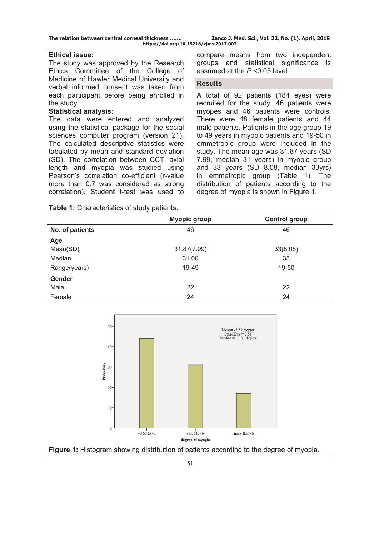| The relation between central corneal thickness | Zanco J. Med. Sci., Vol. 22, No. (1), April, 2018 |  |  |
|------------------------------------------------|---------------------------------------------------|--|--|
| https://doi.org/10.15218/zjms.2017.007         |                                                   |  |  |

#### **Ethical issue:**

The study was approved by the Research Ethics Committee of the College of Medicine of Hawler Medical University and verbal informed consent was taken from each participant before being enrolled in the study.

#### **Statistical analysis**:

The data were entered and analyzed using the statistical package for the social sciences computer program (version 21). The calculated descriptive statistics were tabulated by mean and standard deviation (SD). The correlation between CCT, axial length and myopia was studied using Pearson's correlation co-efficient (r-value more than 0.7 was considered as strong correlation). Student t-test was used to

**Table 1:** Characteristics of study patients.

compare means from two independent groups and statistical significance is assumed at the *P* <0.05 level.

#### **Results**

A total of 92 patients (184 eyes) were recruited for the study; 46 patients were myopes and 46 patients were controls. There were 48 female patients and 44 male patients. Patients in the age group 19 to 49 years in myopic patients and 19-50 in emmetropic group were included in the study. The mean age was 31.87 years (SD 7.99, median 31 years) in myopic group and 33 years (SD 8.08, median 33yrs) in emmetropic group (Table 1). The distribution of patients according to the degree of myopia is shown in Figure 1.

|                | <b>Myopic group</b> |
|----------------|---------------------|
| No of nationts |                     |

|                 | <b>Myopic group</b> | <b>Control group</b> |
|-----------------|---------------------|----------------------|
| No. of patients | 46                  | 46                   |
| Age             |                     |                      |
| Mean(SD)        | 31.87(7.99)         | 33(8.08)             |
| Median          | 31.00               | 33                   |
| Range(years)    | 19-49               | 19-50                |
| <b>Gender</b>   |                     |                      |
| Male            | 22                  | 22                   |
| Female          | 24                  | 24                   |



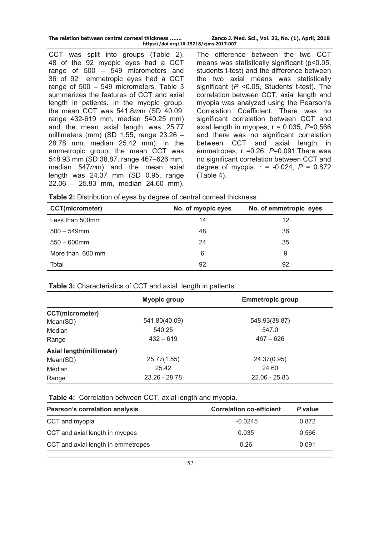| The relation between central corneal thickness | Zanco J. Med. Sci., Vol. 22, No. (1), April, 2018 |  |
|------------------------------------------------|---------------------------------------------------|--|
| https://doi.org/10.15218/zjms.2017.007         |                                                   |  |

CCT was split into groups (Table 2). 48 of the 92 myopic eyes had a CCT range of 500 – 549 micrometers and 36 of 92 emmetropic eyes had a CCT range of 500 – 549 micrometers. Table 3 summarizes the features of CCT and axial length in patients. In the myopic group, the mean CCT was 541.8*m*m (SD 40.09, range 432-619 mm, median 540.25 mm) and the mean axial length was 25.77 millimeters (mm) (SD 1.55, range 23.26 – 28.78 mm, median 25.42 mm). In the emmetropic group, the mean CCT was 548.93 mm (SD 38.87, range 467–626 mm, median 547*m*m) and the mean axial length was 24.37 mm (SD 0.95, range 22.06 – 25.83 mm, median 24.60 mm).

The difference between the two CCT means was statistically significant (p<0.05, students t-test) and the difference between the two axial means was statistically significant (*P* <0.05, Students t-test). The correlation between CCT, axial length and myopia was analyzed using the Pearson's Correlation Coefficient. There was no significant correlation between CCT and axial length in myopes, r = 0.035, *P*=0.566 and there was no significant correlation between CCT and axial length in emmetropes, r =0.26, *P*=0.091.There was no significant correlation between CCT and degree of myopia, r = -0.024, *P* = 0.872 (Table 4).

**Table 2:** Distribution of eyes by degree of central corneal thickness.

| <b>CCT(micrometer)</b> | No. of myopic eyes | No. of emmetropic eyes |
|------------------------|--------------------|------------------------|
| Less than 500mm        | 14                 | 12                     |
| $500 - 549$ mm         | 48                 | 36                     |
| $550 - 600$ mm         | 24                 | 35                     |
| More than 600 mm       | 6                  | 9                      |
| Total                  | 92                 | 92                     |

**Table 3:** Characteristics of CCT and axial length in patients.

|                          | <b>Myopic group</b> | <b>Emmetropic group</b> |
|--------------------------|---------------------|-------------------------|
| <b>CCT(micrometer)</b>   |                     |                         |
| Mean(SD)                 | 541.80(40.09)       | 548.93(38.87)           |
| Median                   | 540.25              | 547.0                   |
| Range                    | $432 - 619$         | $467 - 626$             |
| Axial length(millimeter) |                     |                         |
| Mean(SD)                 | 25.77(1.55)         | 24.37(0.95)             |
| Median                   | 25.42               | 24.60                   |
| Range                    | 23.26 - 28.78       | $22.06 - 25.83$         |

**Table 4:** Correlation between CCT, axial length and myopia.

| <b>Pearson's correlation analysis</b> | <b>Correlation co-efficient</b> | P value |
|---------------------------------------|---------------------------------|---------|
| CCT and myopia                        | $-0.0245$                       | 0.872   |
| CCT and axial length in myopes        | 0.035                           | 0.566   |
| CCT and axial length in emmetropes    | 0.26                            | 0.091   |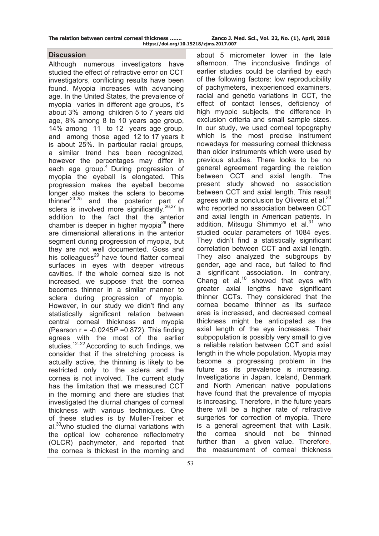| The relation between central corneal thickness | Zanco J. Med. Sci., Vol. 22, No. (1), April, 2018 |  |
|------------------------------------------------|---------------------------------------------------|--|
| https://doi.org/10.15218/zjms.2017.007         |                                                   |  |

### **Discussion**

Although numerous investigators have studied the effect of refractive error on CCT investigators, conflicting results have been found. Myopia increases with advancing age. In the United States, the prevalence of myopia varies in different age groups, it's about 3% among children 5 to 7 years old age, 8% among 8 to 10 years age group, 14% among 11 to 12 years age group, and among those aged 12 to 17 years it is about 25%. In particular racial groups, a similar trend has been recognized, however the percentages may differ in each age group.<sup>4</sup> During progression of myopia the eyeball is elongated. This progression makes the eyeball become longer also makes the sclera to become thinner $^{23-25}$  and the posterior part of sclera is involved more significantly.<sup>26,27</sup> In addition to the fact that the anterior chamber is deeper in higher myopia<sup>28</sup> there are dimensional alterations in the anterior segment during progression of myopia, but they are not well documented. Goss and his colleagues $^{29}$  have found flatter corneal surfaces in eyes with deeper vitreous cavities. If the whole corneal size is not increased, we suppose that the cornea becomes thinner in a similar manner to sclera during progression of myopia. However, in our study we didn't find any statistically significant relation between central corneal thickness and myopia (Pearson r = -0.0245*P* =0.872). This finding agrees with the most of the earlier studies.<sup>12-22</sup> According to such findings, we consider that if the stretching process is actually active, the thinning is likely to be restricted only to the sclera and the cornea is not involved. The current study has the limitation that we measured CCT in the morning and there are studies that investigated the diurnal changes of corneal thickness with various techniques. One of these studies is by Muller-Treiber et al.<sup>30</sup>who studied the diurnal variations with the optical low coherence reflectometry (OLCR) pachymeter, and reported that the cornea is thickest in the morning and

about 5 micrometer lower in the late afternoon. The inconclusive findings of earlier studies could be clarified by each of the following factors: low reproducibility of pachymeters, inexperienced examiners, racial and genetic variations in CCT, the effect of contact lenses, deficiency of high myopic subjects, the difference in exclusion criteria and small sample sizes. In our study, we used corneal topography which is the most precise instrument nowadays for measuring corneal thickness than older instruments which were used by previous studies. There looks to be no general agreement regarding the relation between CCT and axial length. The present study showed no association between CCT and axial length. This result agrees with a conclusion by Oliveira et al.<sup>20</sup> who reported no association between CCT and axial length in American patients. In addition, Mitsugu Shimmyo et al. $31$  who studied ocular parameters of 1084 eyes. They didn't find a statistically significant correlation between CCT and axial length. They also analyzed the subgroups by gender, age and race, but failed to find a significant association. In contrary, Chang et al. $10$  showed that eyes with greater axial lengths have significant thinner CCTs. They considered that the cornea became thinner as its surface area is increased, and decreased corneal thickness might be anticipated as the axial length of the eye increases. Their subpopulation is possibly very small to give a reliable relation between CCT and axial length in the whole population. Myopia may become a progressing problem in the future as its prevalence is increasing. Investigations in Japan, Iceland, Denmark and North American native populations have found that the prevalence of myopia is increasing. Therefore, in the future years there will be a higher rate of refractive surgeries for correction of myopia. There is a general agreement that with Lasik, the cornea should not be thinned further than a given value. Therefore, the measurement of corneal thickness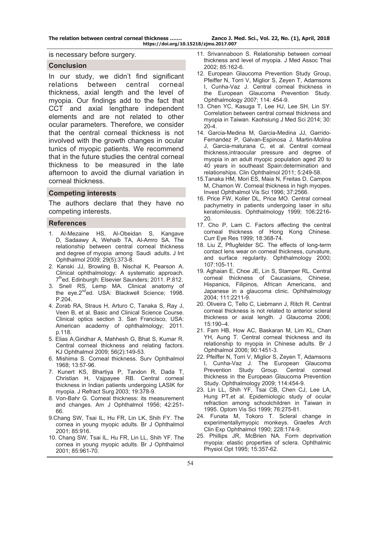**The relation between central corneal thickness ……. Zanco J. Med. Sci., Vol. 22, No. (1), April, 2018 https://doi.org/10.15218/zjms.2017.007**

is necessary before surgery.

#### **Conclusion**

In our study, we didn't find significant relations between central corneal thickness, axial length and the level of myopia. Our findings add to the fact that CCT and axial lengthare independent elements and are not related to other ocular parameters. Therefore, we consider that the central corneal thickness is not involved with the growth changes in ocular tunics of myopic patients. We recommend that in the future studies the central corneal thickness to be measured in the late afternoon to avoid the diurnal variation in corneal thickness.

#### **Competing interests**

The authors declare that they have no competing interests.

#### **References**

- 1. [Al-Mezaine HS](http://www.ncbi.nlm.nih.gov/pubmed/?term=Al-Mezaine%20HS%5BAuthor%5D&cauthor=true&cauthor_uid=18587538), [Al-Obeidan S,](http://www.ncbi.nlm.nih.gov/pubmed/?term=Al-Obeidan%20S%5BAuthor%5D&cauthor=true&cauthor_uid=18587538) [Kangave](http://www.ncbi.nlm.nih.gov/pubmed/?term=Kangave%20D%5BAuthor%5D&cauthor=true&cauthor_uid=18587538)  [D](http://www.ncbi.nlm.nih.gov/pubmed/?term=Kangave%20D%5BAuthor%5D&cauthor=true&cauthor_uid=18587538), [Sadaawy A](http://www.ncbi.nlm.nih.gov/pubmed/?term=Sadaawy%20A%5BAuthor%5D&cauthor=true&cauthor_uid=18587538), [Wehaib TA](http://www.ncbi.nlm.nih.gov/pubmed/?term=Wehaib%20TA%5BAuthor%5D&cauthor=true&cauthor_uid=18587538), [Al-Amro SA](http://www.ncbi.nlm.nih.gov/pubmed/?term=Al-Amro%20SA%5BAuthor%5D&cauthor=true&cauthor_uid=18587538). The relationship between central corneal thickness and degree of myopia among Saudi adults. J Int Ophthalmol 2009; 29(5):373-8.
- 2. Kanski JJ, Browling B, Nischal K, Pearson A. Clinical ophthalmology: A systematic approach. 7<sup>th</sup>ed. Edinburgh: Elsevier Saunders; 2011. P.812.
- 3. Snell RS, Lemp MA. Clinical anatomy of the eye.2<sup>nd</sup>ed. USA: Blackwell Science; 1998. P.204.
- 4. Zorab RA, Straus H, Arturo C, Tanaka S, Ray J, Veen B, et al. Basic and Clinical Science Course. Clinical optics section 3. San Francisco, USA: American academy of ophthalmology; 2011. p.118.
- 5. Elias A,Giridhar A, Mahhesh G, Bhat S, Kumar R. Central corneal thickness and relating factors. KJ Ophthalmol 2009; 56(2):149-53.
- 6. Mishima S. Corneal thickness. Surv Ophthalmol 1968; 13:57-96.
- 7. Kunert KS, Bhartiya P, Tandon R, Dada T, Christian H, Vajpayee RB. Central corneal thickness in Indian patients undergoing LASIK for myopia. J Refract Surg 2003; 19:378-9.
- 8. Von-Bahr G. Corneal thickness: its measurement and changes. Am J Ophthalmol 1956; 42:251- 66.
- 9.Chang SW, Tsai IL, Hu FR, Lin LK, Shih FY. The cornea in young myopic adults. Br J Ophthalmol 2001; 85:916.
- 10. Chang SW, Tsai IL, Hu FR, Lin LL, Shih YF. The cornea in young myopic adults. Br J Ophthalmol 2001; 85:961-70.
- 11. Srivannaboon S. Relationship between corneal thickness and level of myopia. J Med Assoc Thai 2002; 85:162-6.
- 12. European Glaucoma Prevention Study Group, Pfeiffer N, Torri V, Miglior S, Zeyen T, Adamsons I, Cunha-Vaz J. Central corneal thickness in the European Glaucoma Prevention Study. Ophthalmology 2007; 114: 454-9.
- 13. Chen YC, Kasuga T, Lee HJ, Lee SH, Lin SY. Correlation between central corneal thickness and myopia in Taiwan. Kaohsiung J Med Sci 2014; 30:  $20 - 4$
- 14. Garcia-Medina M, Garcia-Medina JJ, Garrido-Fernandez P, Galvan-Espinosa J, Martin-Molina J, Garcia-maturana C, et al. Central corneal thickness,intraocular pressure and degree of myopia in an adult myopic population aged 20 to 40 years in southeast Spain:determination and relationships. Clin Ophthalmol 2011; 5:249-58.
- 15.Tanaka HM, Mori ES, Maia N, Freitas D, Campos M, Chamon W. Corneal thickness in high myopes. Invest Ophthalmol Vis Sci 1996; 37:2566.
- 16. Price FW, Koller DL, Price MO. Central corneal pachymetry in patients undergoing laser in situ keratomileusis. Ophthalmology 1999; 106:2216- 20.
- 17. Cho P, Lam C. Factors affecting the central corneal thickness of Hong Kong Chinese. Curr Eye Res 1999; 18:368-74.
- 18. Liu Z, Pflugfelder SC. The effects of long-term contact lens wear on corneal thickness, curvature, and surface regularity. Ophthalmology 2000; 107:105-11.
- 19. Aghaian E, Choe JE, Lin S, Stamper RL. Central corneal thickness of Caucasians, Chinese, Hispanics, Filipinos, African Americans, and Japanese in a glaucoma clinic. Ophthalmology 2004; 111:2211-9.
- 20. Oliveira C, Tello C, Liebmann J, Ritch R. Central corneal thickness is not related to anterior scleral thickness or axial length. J Glaucoma 2006; 15:190–4.
- 21. Fam HB, How AC, Baskaran M, Lim KL, Chan YH, Aung T. Central corneal thickness and its relationship to myopia in Chinese adults. Br J Ophthalmol 2006; 90:1451-3.
- 22. Pfeiffer N, Torri V, Miglior S, Zeyen T, Adamsons I, Cunha-Vaz J. The European Glaucoma Prevention Study Group. Central corneal thickness in the European Glaucoma Prevention Study. Ophthalmology 2009; 114:454-9.
- 23. Lin LL, Shih YF, Tsai CB, Chen CJ, Lee LA, Hung PT,et al. Epidemiologic study of ocular refraction among schoolchildren in Taiwan in 1995. Optom Vis Sci 1999; 76:275-81.
- 24. Funata M, Tokoro T. Scleral change in experimentallymyopic monkeys. Graefes Arch Clin Exp Ophthalmol 1990; 228:174-9.
- 25. Phillips JR, McBrien NA. Form deprivation myopia: elastic properties of sclera. Ophthalmic Physiol Opt 1995; 15:357-62.